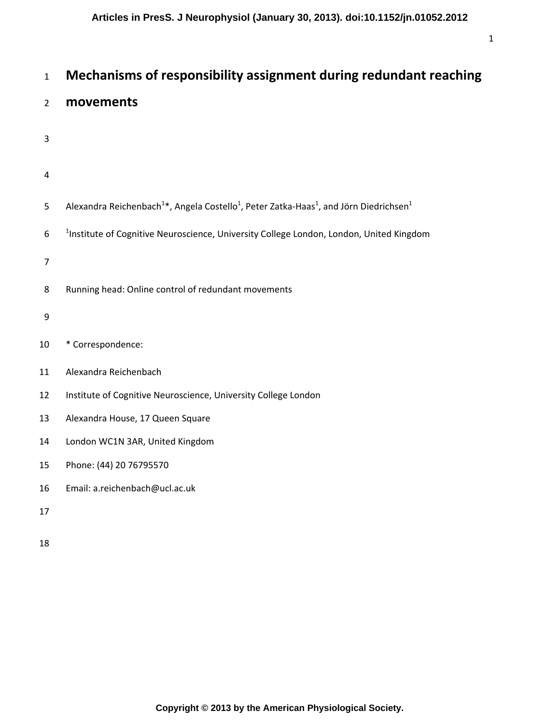# <sup>1</sup>**Mechanisms of responsibility assignment during redundant reaching**

# <sup>2</sup>**movements**

- 3
- 
- 4

|  | Alexandra Reichenbach <sup>1*</sup> , Angela Costello <sup>1</sup> , Peter Zatka-Haas <sup>1</sup> , and Jörn Diedrichsen <sup>1</sup> |
|--|----------------------------------------------------------------------------------------------------------------------------------------|
|--|----------------------------------------------------------------------------------------------------------------------------------------|

- 6 <sup>1</sup>Institute of Cognitive Neuroscience, University College London, London, United Kingdom
- 7
- 8 Running head: Online control of redundant movements
- 9
- 10 \* Correspondence:
- 11 Alexandra Reichenbach
- 12 Institute of Cognitive Neuroscience, University College London
- 13 Alexandra House, 17 Queen Square
- 14 London WC1N 3AR, United Kingdom
- 15 Phone: (44) 20 76795570
- 16 Email: a.reichenbach@ucl.ac.uk
- 17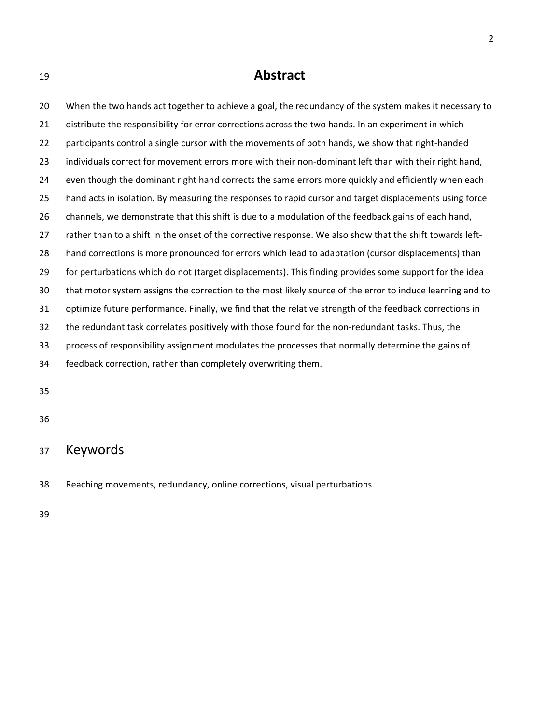# <sup>19</sup>**Abstract**

20 When the two hands act together to achieve a goal, the redundancy of the system makes it necessary to 21 distribute the responsibility for error corrections across the two hands. In an experiment in which 22 participants control a single cursor with the movements of both hands, we show that right-handed 23 individuals correct for movement errors more with their non-dominant left than with their right hand, 24 even though the dominant right hand corrects the same errors more quickly and efficiently when each 25 hand acts in isolation. By measuring the responses to rapid cursor and target displacements using force 26 channels, we demonstrate that this shift is due to a modulation of the feedback gains of each hand, 27 rather than to a shift in the onset of the corrective response. We also show that the shift towards left-28 hand corrections is more pronounced for errors which lead to adaptation (cursor displacements) than 29 for perturbations which do not (target displacements). This finding provides some support for the idea 30 that motor system assigns the correction to the most likely source of the error to induce learning and to 31 optimize future performance. Finally, we find that the relative strength of the feedback corrections in 32 the redundant task correlates positively with those found for the non-redundant tasks. Thus, the 33 process of responsibility assignment modulates the processes that normally determine the gains of 34 feedback correction, rather than completely overwriting them.

35

36

# 37 Keywords

38 Reaching movements, redundancy, online corrections, visual perturbations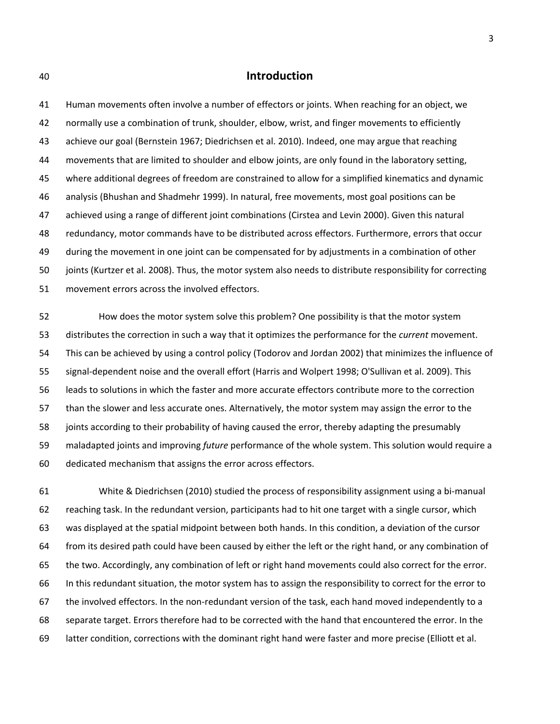## 40 **Introduction**

41 Human movements often involve a number of effectors or joints. When reaching for an object, we 42 normally use a combination of trunk, shoulder, elbow, wrist, and finger movements to efficiently 43 achieve our goal (Bernstein 1967; Diedrichsen et al. 2010). Indeed, one may argue that reaching 44 movements that are limited to shoulder and elbow joints, are only found in the laboratory setting, 45 where additional degrees of freedom are constrained to allow for a simplified kinematics and dynamic 46 analysis (Bhushan and Shadmehr 1999). In natural, free movements, most goal positions can be 47 achieved using a range of different joint combinations (Cirstea and Levin 2000). Given this natural 48 redundancy, motor commands have to be distributed across effectors. Furthermore, errors that occur 49 during the movement in one joint can be compensated for by adjustments in a combination of other 50 joints (Kurtzer et al. 2008). Thus, the motor system also needs to distribute responsibility for correcting 51 movement errors across the involved effectors.

52 How does the motor system solve this problem? One possibility is that the motor system 53 distributes the correction in such a way that it optimizes the performance for the *current* movement. 54 This can be achieved by using a control policy (Todorov and Jordan 2002) that minimizes the influence of 55 signal-dependent noise and the overall effort (Harris and Wolpert 1998; O'Sullivan et al. 2009). This 56 leads to solutions in which the faster and more accurate effectors contribute more to the correction 57 than the slower and less accurate ones. Alternatively, the motor system may assign the error to the 58 joints according to their probability of having caused the error, thereby adapting the presumably 59 maladapted joints and improving *future* performance of the whole system. This solution would require a 60 dedicated mechanism that assigns the error across effectors.

61 White & Diedrichsen (2010) studied the process of responsibility assignment using a bi-manual 62 reaching task. In the redundant version, participants had to hit one target with a single cursor, which 63 was displayed at the spatial midpoint between both hands. In this condition, a deviation of the cursor 64 from its desired path could have been caused by either the left or the right hand, or any combination of 65 the two. Accordingly, any combination of left or right hand movements could also correct for the error. 66 In this redundant situation, the motor system has to assign the responsibility to correct for the error to 67 the involved effectors. In the non-redundant version of the task, each hand moved independently to a 68 separate target. Errors therefore had to be corrected with the hand that encountered the error. In the 69 latter condition, corrections with the dominant right hand were faster and more precise (Elliott et al.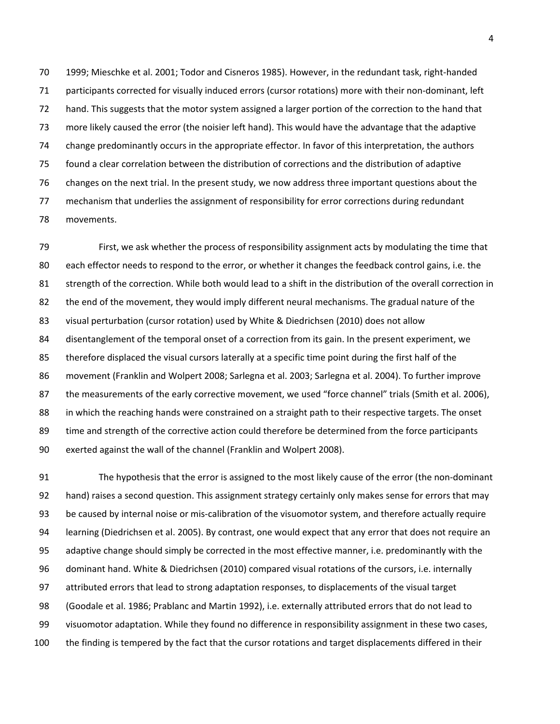70 1999; Mieschke et al. 2001; Todor and Cisneros 1985). However, in the redundant task, right-handed 71 participants corrected for visually induced errors (cursor rotations) more with their non-dominant, left 72 hand. This suggests that the motor system assigned a larger portion of the correction to the hand that 73 more likely caused the error (the noisier left hand). This would have the advantage that the adaptive 74 change predominantly occurs in the appropriate effector. In favor of this interpretation, the authors 75 found a clear correlation between the distribution of corrections and the distribution of adaptive 76 changes on the next trial. In the present study, we now address three important questions about the 77 mechanism that underlies the assignment of responsibility for error corrections during redundant 78 movements.

79 First, we ask whether the process of responsibility assignment acts by modulating the time that 80 each effector needs to respond to the error, or whether it changes the feedback control gains, i.e. the 81 strength of the correction. While both would lead to a shift in the distribution of the overall correction in 82 the end of the movement, they would imply different neural mechanisms. The gradual nature of the 83 visual perturbation (cursor rotation) used by White & Diedrichsen (2010) does not allow 84 disentanglement of the temporal onset of a correction from its gain. In the present experiment, we 85 therefore displaced the visual cursors laterally at a specific time point during the first half of the 86 movement (Franklin and Wolpert 2008; Sarlegna et al. 2003; Sarlegna et al. 2004). To further improve 87 the measurements of the early corrective movement, we used "force channel" trials (Smith et al. 2006), 88 in which the reaching hands were constrained on a straight path to their respective targets. The onset 89 time and strength of the corrective action could therefore be determined from the force participants 90 exerted against the wall of the channel (Franklin and Wolpert 2008).

91 The hypothesis that the error is assigned to the most likely cause of the error (the non-dominant 92 hand) raises a second question. This assignment strategy certainly only makes sense for errors that may 93 be caused by internal noise or mis-calibration of the visuomotor system, and therefore actually require 94 learning (Diedrichsen et al. 2005). By contrast, one would expect that any error that does not require an 95 adaptive change should simply be corrected in the most effective manner, i.e. predominantly with the 96 dominant hand. White & Diedrichsen (2010) compared visual rotations of the cursors, i.e. internally 97 attributed errors that lead to strong adaptation responses, to displacements of the visual target 98 (Goodale et al. 1986; Prablanc and Martin 1992), i.e. externally attributed errors that do not lead to 99 visuomotor adaptation. While they found no difference in responsibility assignment in these two cases, 100 the finding is tempered by the fact that the cursor rotations and target displacements differed in their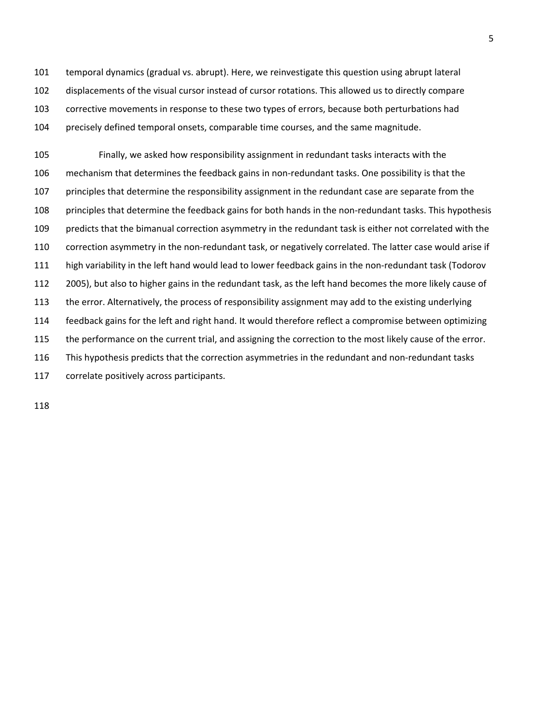101 temporal dynamics (gradual vs. abrupt). Here, we reinvestigate this question using abrupt lateral 102 displacements of the visual cursor instead of cursor rotations. This allowed us to directly compare 103 corrective movements in response to these two types of errors, because both perturbations had 104 precisely defined temporal onsets, comparable time courses, and the same magnitude.

105 Finally, we asked how responsibility assignment in redundant tasks interacts with the 106 mechanism that determines the feedback gains in non-redundant tasks. One possibility is that the 107 principles that determine the responsibility assignment in the redundant case are separate from the 108 principles that determine the feedback gains for both hands in the non-redundant tasks. This hypothesis 109 predicts that the bimanual correction asymmetry in the redundant task is either not correlated with the 110 correction asymmetry in the non-redundant task, or negatively correlated. The latter case would arise if 111 high variability in the left hand would lead to lower feedback gains in the non-redundant task (Todorov 112 2005), but also to higher gains in the redundant task, as the left hand becomes the more likely cause of 113 the error. Alternatively, the process of responsibility assignment may add to the existing underlying 114 feedback gains for the left and right hand. It would therefore reflect a compromise between optimizing 115 the performance on the current trial, and assigning the correction to the most likely cause of the error. 116 This hypothesis predicts that the correction asymmetries in the redundant and non-redundant tasks 117 correlate positively across participants.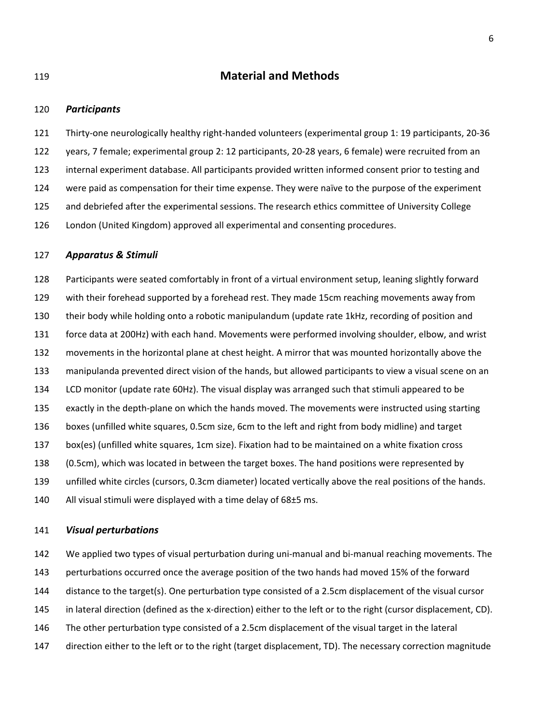# 119 **Material and Methods**

#### 120 *Participants*

121 Thirty-one neurologically healthy right-handed volunteers (experimental group 1: 19 participants, 20-36 122 years, 7 female; experimental group 2: 12 participants, 20-28 years, 6 female) were recruited from an 123 internal experiment database. All participants provided written informed consent prior to testing and 124 were paid as compensation for their time expense. They were naïve to the purpose of the experiment 125 and debriefed after the experimental sessions. The research ethics committee of University College 126 London (United Kingdom) approved all experimental and consenting procedures.

#### 127 *Apparatus & Stimuli*

128 Participants were seated comfortably in front of a virtual environment setup, leaning slightly forward 129 with their forehead supported by a forehead rest. They made 15cm reaching movements away from 130 their body while holding onto a robotic manipulandum (update rate 1kHz, recording of position and 131 force data at 200Hz) with each hand. Movements were performed involving shoulder, elbow, and wrist 132 movements in the horizontal plane at chest height. A mirror that was mounted horizontally above the 133 manipulanda prevented direct vision of the hands, but allowed participants to view a visual scene on an 134 LCD monitor (update rate 60Hz). The visual display was arranged such that stimuli appeared to be 135 exactly in the depth-plane on which the hands moved. The movements were instructed using starting 136 boxes (unfilled white squares, 0.5cm size, 6cm to the left and right from body midline) and target 137 box(es) (unfilled white squares, 1cm size). Fixation had to be maintained on a white fixation cross 138 (0.5cm), which was located in between the target boxes. The hand positions were represented by 139 unfilled white circles (cursors, 0.3cm diameter) located vertically above the real positions of the hands. 140 All visual stimuli were displayed with a time delay of  $68\pm5$  ms.

### 141 *Visual perturbations*

142 We applied two types of visual perturbation during uni-manual and bi-manual reaching movements. The 143 perturbations occurred once the average position of the two hands had moved 15% of the forward 144 distance to the target(s). One perturbation type consisted of a 2.5cm displacement of the visual cursor 145 in lateral direction (defined as the x-direction) either to the left or to the right (cursor displacement, CD). 146 The other perturbation type consisted of a 2.5cm displacement of the visual target in the lateral 147 direction either to the left or to the right (target displacement, TD). The necessary correction magnitude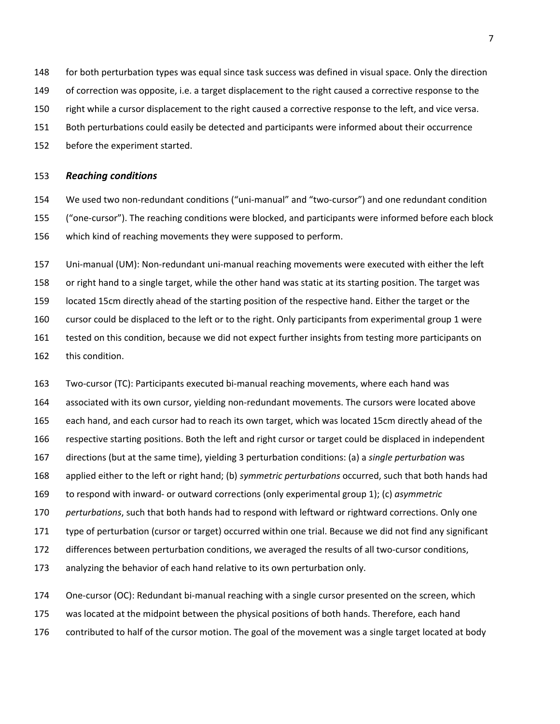- 148 for both perturbation types was equal since task success was defined in visual space. Only the direction
- 149 of correction was opposite, i.e. a target displacement to the right caused a corrective response to the
- 150 right while a cursor displacement to the right caused a corrective response to the left, and vice versa.
- 151 Both perturbations could easily be detected and participants were informed about their occurrence
- 152 before the experiment started.

#### 153 *Reaching conditions*

154 We used two non-redundant conditions ("uni-manual" and "two-cursor") and one redundant condition 155 ("one-cursor"). The reaching conditions were blocked, and participants were informed before each block 156 which kind of reaching movements they were supposed to perform.

157 Uni-manual (UM): Non-redundant uni-manual reaching movements were executed with either the left 158 or right hand to a single target, while the other hand was static at its starting position. The target was 159 located 15cm directly ahead of the starting position of the respective hand. Either the target or the 160 cursor could be displaced to the left or to the right. Only participants from experimental group 1 were 161 tested on this condition, because we did not expect further insights from testing more participants on 162 this condition.

163 Two-cursor (TC): Participants executed bi-manual reaching movements, where each hand was 164 associated with its own cursor, yielding non-redundant movements. The cursors were located above 165 each hand, and each cursor had to reach its own target, which was located 15cm directly ahead of the 166 respective starting positions. Both the left and right cursor or target could be displaced in independent 167 directions (but at the same time), yielding 3 perturbation conditions: (a) a *single perturbation* was 168 applied either to the left or right hand; (b) *symmetric perturbations* occurred, such that both hands had 169 to respond with inward- or outward corrections (only experimental group 1); (c) *asymmetric*  170 *perturbations*, such that both hands had to respond with leftward or rightward corrections. Only one 171 type of perturbation (cursor or target) occurred within one trial. Because we did not find any significant 172 differences between perturbation conditions, we averaged the results of all two-cursor conditions, 173 analyzing the behavior of each hand relative to its own perturbation only.

174 One-cursor (OC): Redundant bi-manual reaching with a single cursor presented on the screen, which 175 was located at the midpoint between the physical positions of both hands. Therefore, each hand 176 contributed to half of the cursor motion. The goal of the movement was a single target located at body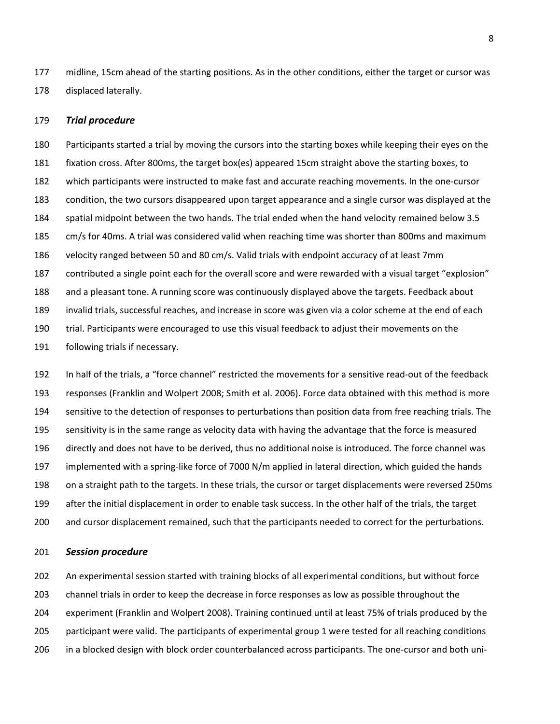177 midline, 15cm ahead of the starting positions. As in the other conditions, either the target or cursor was 178 displaced laterally.

#### 179 *Trial procedure*

180 Participants started a trial by moving the cursors into the starting boxes while keeping their eyes on the 181 fixation cross. After 800ms, the target box(es) appeared 15cm straight above the starting boxes, to 182 which participants were instructed to make fast and accurate reaching movements. In the one-cursor 183 condition, the two cursors disappeared upon target appearance and a single cursor was displayed at the 184 spatial midpoint between the two hands. The trial ended when the hand velocity remained below 3.5 185 cm/s for 40ms. A trial was considered valid when reaching time was shorter than 800ms and maximum 186 velocity ranged between 50 and 80 cm/s. Valid trials with endpoint accuracy of at least 7mm 187 contributed a single point each for the overall score and were rewarded with a visual target "explosion" 188 and a pleasant tone. A running score was continuously displayed above the targets. Feedback about 189 invalid trials, successful reaches, and increase in score was given via a color scheme at the end of each 190 trial. Participants were encouraged to use this visual feedback to adjust their movements on the 191 following trials if necessary.

192 In half of the trials, a "force channel" restricted the movements for a sensitive read-out of the feedback 193 responses (Franklin and Wolpert 2008; Smith et al. 2006). Force data obtained with this method is more 194 sensitive to the detection of responses to perturbations than position data from free reaching trials. The 195 sensitivity is in the same range as velocity data with having the advantage that the force is measured 196 directly and does not have to be derived, thus no additional noise is introduced. The force channel was 197 implemented with a spring-like force of 7000 N/m applied in lateral direction, which guided the hands 198 on a straight path to the targets. In these trials, the cursor or target displacements were reversed 250ms 199 after the initial displacement in order to enable task success. In the other half of the trials, the target 200 and cursor displacement remained, such that the participants needed to correct for the perturbations.

#### 201 *Session procedure*

202 An experimental session started with training blocks of all experimental conditions, but without force 203 channel trials in order to keep the decrease in force responses as low as possible throughout the 204 experiment (Franklin and Wolpert 2008). Training continued until at least 75% of trials produced by the 205 participant were valid. The participants of experimental group 1 were tested for all reaching conditions 206 in a blocked design with block order counterbalanced across participants. The one-cursor and both uni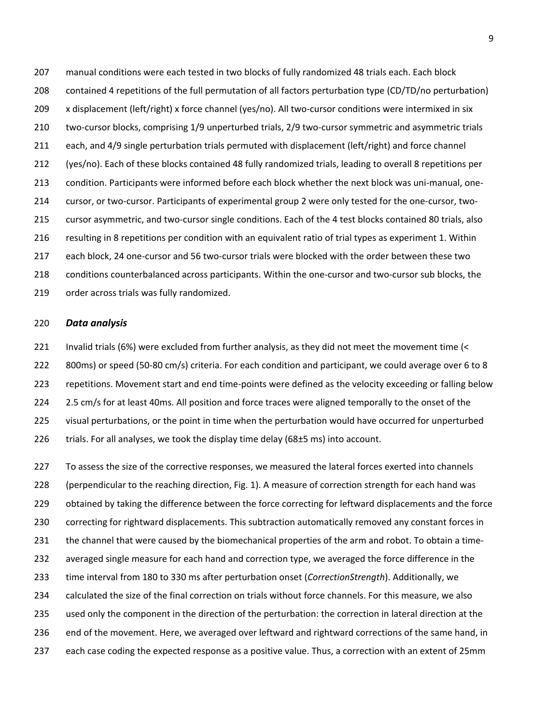207 manual conditions were each tested in two blocks of fully randomized 48 trials each. Each block 208 contained 4 repetitions of the full permutation of all factors perturbation type (CD/TD/no perturbation) 209 x displacement (left/right) x force channel (yes/no). All two-cursor conditions were intermixed in six 210 two-cursor blocks, comprising 1/9 unperturbed trials, 2/9 two-cursor symmetric and asymmetric trials 211 each, and 4/9 single perturbation trials permuted with displacement (left/right) and force channel 212 (yes/no). Each of these blocks contained 48 fully randomized trials, leading to overall 8 repetitions per 213 condition. Participants were informed before each block whether the next block was uni-manual, one-214 cursor, or two-cursor. Participants of experimental group 2 were only tested for the one-cursor, two-215 cursor asymmetric, and two-cursor single conditions. Each of the 4 test blocks contained 80 trials, also 216 resulting in 8 repetitions per condition with an equivalent ratio of trial types as experiment 1. Within 217 each block, 24 one-cursor and 56 two-cursor trials were blocked with the order between these two 218 conditions counterbalanced across participants. Within the one-cursor and two-cursor sub blocks, the 219 order across trials was fully randomized.

#### 220 *Data analysis*

221 Invalid trials (6%) were excluded from further analysis, as they did not meet the movement time (< 222 800ms) or speed (50-80 cm/s) criteria. For each condition and participant, we could average over 6 to 8 223 repetitions. Movement start and end time-points were defined as the velocity exceeding or falling below 224 2.5 cm/s for at least 40ms. All position and force traces were aligned temporally to the onset of the 225 visual perturbations, or the point in time when the perturbation would have occurred for unperturbed 226 trials. For all analyses, we took the display time delay ( $68±5$  ms) into account.

227 To assess the size of the corrective responses, we measured the lateral forces exerted into channels 228 (perpendicular to the reaching direction, Fig. 1). A measure of correction strength for each hand was 229 obtained by taking the difference between the force correcting for leftward displacements and the force 230 correcting for rightward displacements. This subtraction automatically removed any constant forces in 231 the channel that were caused by the biomechanical properties of the arm and robot. To obtain a time-232 averaged single measure for each hand and correction type, we averaged the force difference in the 233 time interval from 180 to 330 ms after perturbation onset (*CorrectionStrength*). Additionally, we 234 calculated the size of the final correction on trials without force channels. For this measure, we also 235 used only the component in the direction of the perturbation: the correction in lateral direction at the 236 end of the movement. Here, we averaged over leftward and rightward corrections of the same hand, in 237 each case coding the expected response as a positive value. Thus, a correction with an extent of 25mm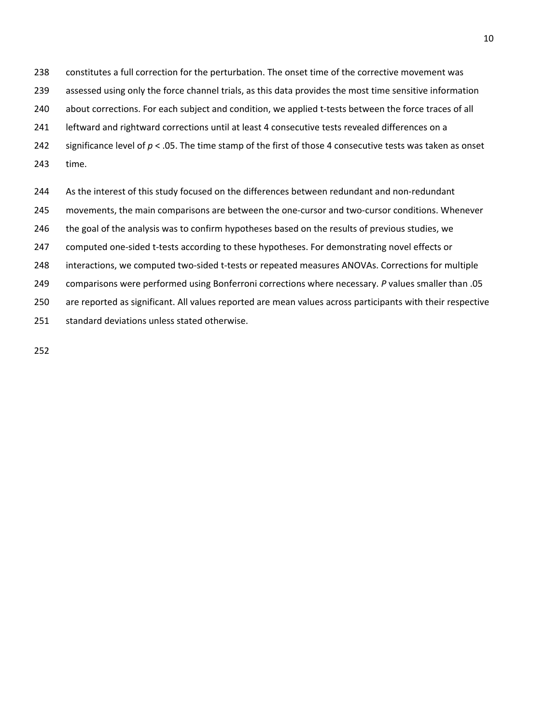238 constitutes a full correction for the perturbation. The onset time of the corrective movement was

239 assessed using only the force channel trials, as this data provides the most time sensitive information

240 about corrections. For each subject and condition, we applied t-tests between the force traces of all

241 leftward and rightward corrections until at least 4 consecutive tests revealed differences on a

242 significance level of  $p < .05$ . The time stamp of the first of those 4 consecutive tests was taken as onset

243 time.

244 As the interest of this study focused on the differences between redundant and non-redundant

245 movements, the main comparisons are between the one-cursor and two-cursor conditions. Whenever

246 the goal of the analysis was to confirm hypotheses based on the results of previous studies, we

247 computed one-sided t-tests according to these hypotheses. For demonstrating novel effects or

248 interactions, we computed two-sided t-tests or repeated measures ANOVAs. Corrections for multiple

249 comparisons were performed using Bonferroni corrections where necessary. *P* values smaller than .05

250 are reported as significant. All values reported are mean values across participants with their respective

251 standard deviations unless stated otherwise.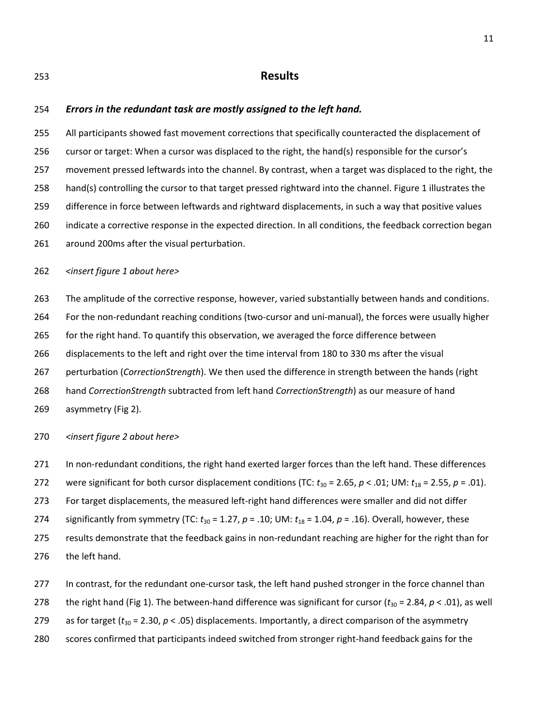## 253 **Results**

## 254 *Errors in the redundant task are mostly assigned to the left hand.*

255 All participants showed fast movement corrections that specifically counteracted the displacement of 256 cursor or target: When a cursor was displaced to the right, the hand(s) responsible for the cursor's 257 movement pressed leftwards into the channel. By contrast, when a target was displaced to the right, the 258 hand(s) controlling the cursor to that target pressed rightward into the channel. Figure 1 illustrates the 259 difference in force between leftwards and rightward displacements, in such a way that positive values 260 indicate a corrective response in the expected direction. In all conditions, the feedback correction began 261 around 200ms after the visual perturbation.

## 262 *<insert figure 1 about here>*

263 The amplitude of the corrective response, however, varied substantially between hands and conditions.

264 For the non-redundant reaching conditions (two-cursor and uni-manual), the forces were usually higher

265 for the right hand. To quantify this observation, we averaged the force difference between

266 displacements to the left and right over the time interval from 180 to 330 ms after the visual

267 perturbation (*CorrectionStrength*). We then used the difference in strength between the hands (right

268 hand *CorrectionStrength* subtracted from left hand *CorrectionStrength*) as our measure of hand

269 asymmetry (Fig 2).

270 *<insert figure 2 about here>* 

- 271 In non-redundant conditions, the right hand exerted larger forces than the left hand. These differences
- 272 were significant for both cursor displacement conditions (TC:  $t_{30}$  = 2.65,  $p < .01$ ; UM:  $t_{18}$  = 2.55,  $p = .01$ ).

273 For target displacements, the measured left-right hand differences were smaller and did not differ

274 significantly from symmetry (TC:  $t_{30}$  = 1.27,  $p$  = .10; UM:  $t_{18}$  = 1.04,  $p$  = .16). Overall, however, these

- 275 results demonstrate that the feedback gains in non-redundant reaching are higher for the right than for 276 the left hand.
- 277 In contrast, for the redundant one-cursor task, the left hand pushed stronger in the force channel than
- 278 the right hand (Fig 1). The between-hand difference was significant for cursor ( $t_{30}$  = 2.84,  $p$  < .01), as well
- 279 as for target ( $t_{30}$  = 2.30,  $p$  < .05) displacements. Importantly, a direct comparison of the asymmetry
- 280 scores confirmed that participants indeed switched from stronger right-hand feedback gains for the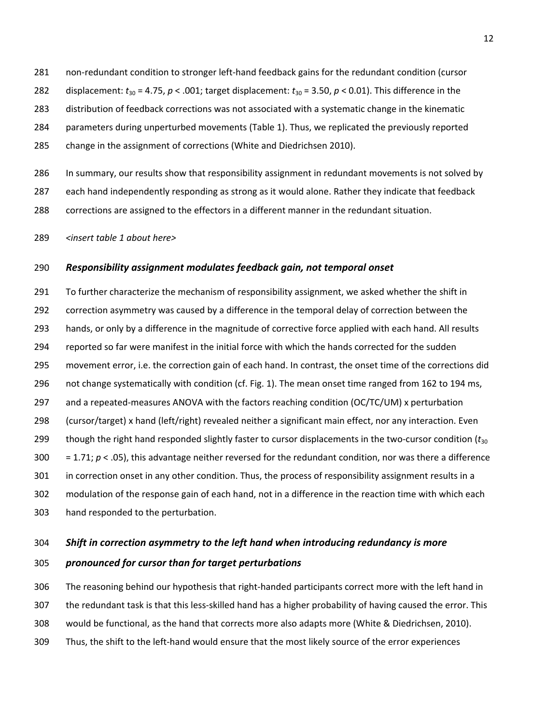281 non-redundant condition to stronger left-hand feedback gains for the redundant condition (cursor 282 displacement:  $t_{30}$  = 4.75,  $p < .001$ ; target displacement:  $t_{30}$  = 3.50,  $p < .001$ ). This difference in the 283 distribution of feedback corrections was not associated with a systematic change in the kinematic 284 parameters during unperturbed movements (Table 1). Thus, we replicated the previously reported 285 change in the assignment of corrections (White and Diedrichsen 2010).

286 In summary, our results show that responsibility assignment in redundant movements is not solved by 287 each hand independently responding as strong as it would alone. Rather they indicate that feedback 288 corrections are assigned to the effectors in a different manner in the redundant situation.

289 *<insert table 1 about here>* 

## 290 *Responsibility assignment modulates feedback gain, not temporal onset*

291 To further characterize the mechanism of responsibility assignment, we asked whether the shift in 292 correction asymmetry was caused by a difference in the temporal delay of correction between the 293 hands, or only by a difference in the magnitude of corrective force applied with each hand. All results 294 reported so far were manifest in the initial force with which the hands corrected for the sudden 295 movement error, i.e. the correction gain of each hand. In contrast, the onset time of the corrections did 296 not change systematically with condition (cf. Fig. 1). The mean onset time ranged from 162 to 194 ms, 297 and a repeated-measures ANOVA with the factors reaching condition (OC/TC/UM) x perturbation 298 (cursor/target) x hand (left/right) revealed neither a significant main effect, nor any interaction. Even 299 though the right hand responded slightly faster to cursor displacements in the two-cursor condition (*t*<sup>30</sup> 300 = 1.71; *p* < .05), this advantage neither reversed for the redundant condition, nor was there a difference 301 in correction onset in any other condition. Thus, the process of responsibility assignment results in a 302 modulation of the response gain of each hand, not in a difference in the reaction time with which each 303 hand responded to the perturbation.

# 304 *Shift in correction asymmetry to the left hand when introducing redundancy is more*

# 305 *pronounced for cursor than for target perturbations*

306 The reasoning behind our hypothesis that right-handed participants correct more with the left hand in 307 the redundant task is that this less-skilled hand has a higher probability of having caused the error. This 308 would be functional, as the hand that corrects more also adapts more (White & Diedrichsen, 2010). 309 Thus, the shift to the left-hand would ensure that the most likely source of the error experiences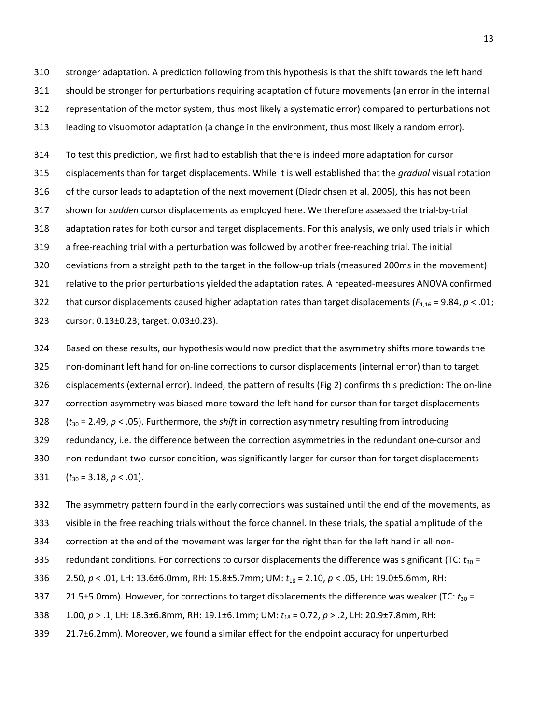310 stronger adaptation. A prediction following from this hypothesis is that the shift towards the left hand 311 should be stronger for perturbations requiring adaptation of future movements (an error in the internal 312 representation of the motor system, thus most likely a systematic error) compared to perturbations not 313 leading to visuomotor adaptation (a change in the environment, thus most likely a random error).

314 To test this prediction, we first had to establish that there is indeed more adaptation for cursor 315 displacements than for target displacements. While it is well established that the *gradual* visual rotation 316 of the cursor leads to adaptation of the next movement (Diedrichsen et al. 2005), this has not been 317 shown for *sudden* cursor displacements as employed here. We therefore assessed the trial-by-trial 318 adaptation rates for both cursor and target displacements. For this analysis, we only used trials in which 319 a free-reaching trial with a perturbation was followed by another free-reaching trial. The initial 320 deviations from a straight path to the target in the follow-up trials (measured 200ms in the movement) 321 relative to the prior perturbations yielded the adaptation rates. A repeated-measures ANOVA confirmed 322 that cursor displacements caused higher adaptation rates than target displacements (*F*1,16 = 9.84, *p* < .01; 323 cursor: 0.13±0.23; target: 0.03±0.23).

324 Based on these results, our hypothesis would now predict that the asymmetry shifts more towards the 325 non-dominant left hand for on-line corrections to cursor displacements (internal error) than to target 326 displacements (external error). Indeed, the pattern of results (Fig 2) confirms this prediction: The on-line 327 correction asymmetry was biased more toward the left hand for cursor than for target displacements 328 (*t*30 = 2.49, *p* < .05). Furthermore, the *shift* in correction asymmetry resulting from introducing 329 redundancy, i.e. the difference between the correction asymmetries in the redundant one-cursor and 330 non-redundant two-cursor condition, was significantly larger for cursor than for target displacements 331  $(t_{30} = 3.18, p < .01)$ .

332 The asymmetry pattern found in the early corrections was sustained until the end of the movements, as 333 visible in the free reaching trials without the force channel. In these trials, the spatial amplitude of the 334 correction at the end of the movement was larger for the right than for the left hand in all non-335 redundant conditions. For corrections to cursor displacements the difference was significant (TC:  $t_{30}$  = 336 2.50, *p* < .01, LH: 13.6±6.0mm, RH: 15.8±5.7mm; UM: *t*18 = 2.10, *p* < .05, LH: 19.0±5.6mm, RH: 337 21.5±5.0mm). However, for corrections to target displacements the difference was weaker (TC:  $t_{30}$  = 338 1.00, *p* > .1, LH: 18.3±6.8mm, RH: 19.1±6.1mm; UM: *t*18 = 0.72, *p* > .2, LH: 20.9±7.8mm, RH:

339 21.7±6.2mm). Moreover, we found a similar effect for the endpoint accuracy for unperturbed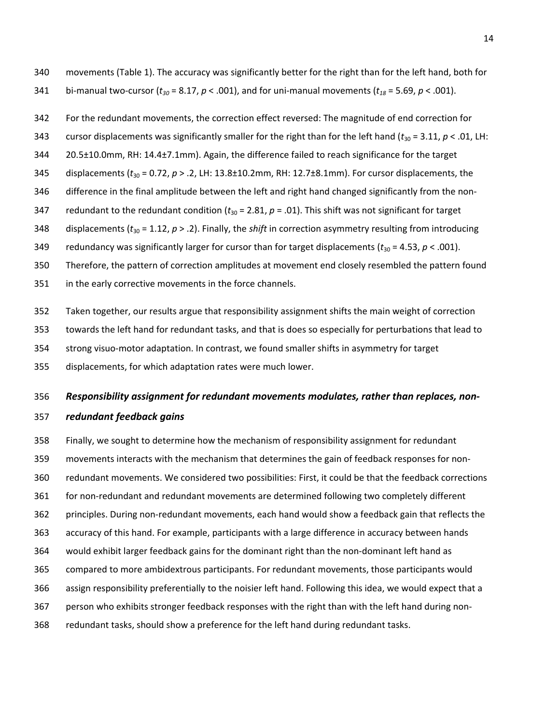- 340 movements (Table 1). The accuracy was significantly better for the right than for the left hand, both for
- 341 bi-manual two-cursor ( $t_{30}$  = 8.17,  $p$  < .001), and for uni-manual movements ( $t_{18}$  = 5.69,  $p$  < .001).
- 342 For the redundant movements, the correction effect reversed: The magnitude of end correction for
- 343 cursor displacements was significantly smaller for the right than for the left hand ( $t_{30}$  = 3.11,  $p < .01$ , LH:
- 344 20.5±10.0mm, RH: 14.4±7.1mm). Again, the difference failed to reach significance for the target
- 345 displacements (*t*30 = 0.72, *p* > .2, LH: 13.8±10.2mm, RH: 12.7±8.1mm). For cursor displacements, the
- 346 difference in the final amplitude between the left and right hand changed significantly from the non-
- 347 redundant to the redundant condition  $(t_{30} = 2.81, p = .01)$ . This shift was not significant for target
- 348 displacements (*t*30 = 1.12, *p* > .2). Finally, the *shift* in correction asymmetry resulting from introducing
- 349 redundancy was significantly larger for cursor than for target displacements  $(t_{30} = 4.53, p < .001)$ .
- 350 Therefore, the pattern of correction amplitudes at movement end closely resembled the pattern found
- 351 in the early corrective movements in the force channels.
- 352 Taken together, our results argue that responsibility assignment shifts the main weight of correction
- 353 towards the left hand for redundant tasks, and that is does so especially for perturbations that lead to
- 354 strong visuo-motor adaptation. In contrast, we found smaller shifts in asymmetry for target
- 355 displacements, for which adaptation rates were much lower.

# 356 *Responsibility assignment for redundant movements modulates, rather than replaces, non-*357 *redundant feedback gains*

358 Finally, we sought to determine how the mechanism of responsibility assignment for redundant 359 movements interacts with the mechanism that determines the gain of feedback responses for non-360 redundant movements. We considered two possibilities: First, it could be that the feedback corrections 361 for non-redundant and redundant movements are determined following two completely different 362 principles. During non-redundant movements, each hand would show a feedback gain that reflects the 363 accuracy of this hand. For example, participants with a large difference in accuracy between hands 364 would exhibit larger feedback gains for the dominant right than the non-dominant left hand as 365 compared to more ambidextrous participants. For redundant movements, those participants would 366 assign responsibility preferentially to the noisier left hand. Following this idea, we would expect that a 367 person who exhibits stronger feedback responses with the right than with the left hand during non-368 redundant tasks, should show a preference for the left hand during redundant tasks.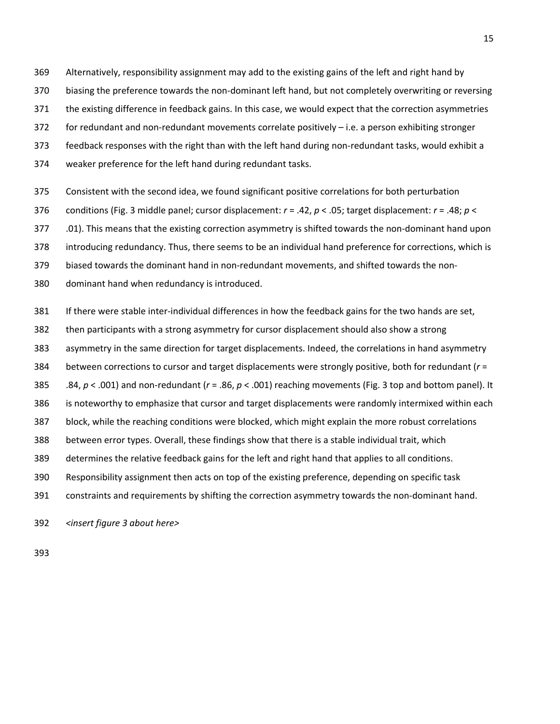369 Alternatively, responsibility assignment may add to the existing gains of the left and right hand by

- 370 biasing the preference towards the non-dominant left hand, but not completely overwriting or reversing
- 371 the existing difference in feedback gains. In this case, we would expect that the correction asymmetries
- 372 for redundant and non-redundant movements correlate positively i.e. a person exhibiting stronger
- 373 feedback responses with the right than with the left hand during non-redundant tasks, would exhibit a
- 374 weaker preference for the left hand during redundant tasks.
- 375 Consistent with the second idea, we found significant positive correlations for both perturbation
- 376 conditions (Fig. 3 middle panel; cursor displacement: *r* = .42, *p* < .05; target displacement: *r* = .48; *p* <
- 377 .01). This means that the existing correction asymmetry is shifted towards the non-dominant hand upon
- 378 introducing redundancy. Thus, there seems to be an individual hand preference for corrections, which is
- 379 biased towards the dominant hand in non-redundant movements, and shifted towards the non-
- 380 dominant hand when redundancy is introduced.
- 381 If there were stable inter-individual differences in how the feedback gains for the two hands are set,
- 382 then participants with a strong asymmetry for cursor displacement should also show a strong
- 383 asymmetry in the same direction for target displacements. Indeed, the correlations in hand asymmetry
- 384 between corrections to cursor and target displacements were strongly positive, both for redundant (*r* =
- 385 .84, *p* < .001) and non-redundant (*r* = .86, *p* < .001) reaching movements (Fig. 3 top and bottom panel). It
- 386 is noteworthy to emphasize that cursor and target displacements were randomly intermixed within each
- 387 block, while the reaching conditions were blocked, which might explain the more robust correlations
- 388 between error types. Overall, these findings show that there is a stable individual trait, which
- 389 determines the relative feedback gains for the left and right hand that applies to all conditions.
- 390 Responsibility assignment then acts on top of the existing preference, depending on specific task
- 391 constraints and requirements by shifting the correction asymmetry towards the non-dominant hand.

392 *<insert figure 3 about here>*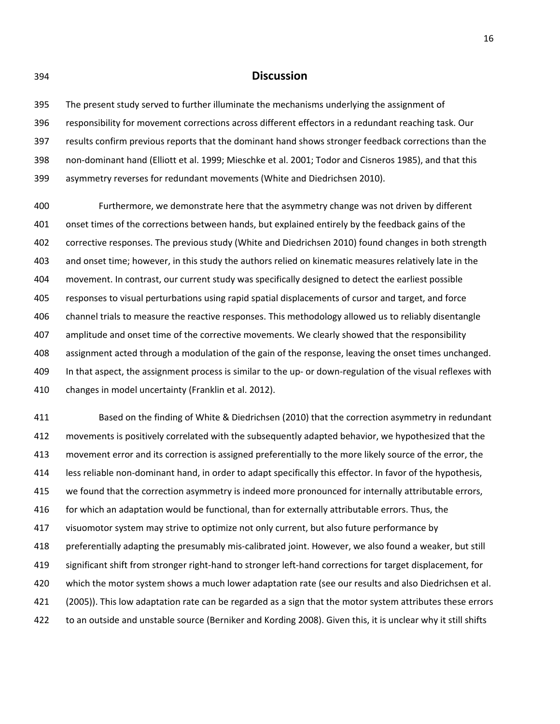## 394 **Discussion**

395 The present study served to further illuminate the mechanisms underlying the assignment of 396 responsibility for movement corrections across different effectors in a redundant reaching task. Our 397 results confirm previous reports that the dominant hand shows stronger feedback corrections than the 398 non-dominant hand (Elliott et al. 1999; Mieschke et al. 2001; Todor and Cisneros 1985), and that this 399 asymmetry reverses for redundant movements (White and Diedrichsen 2010).

400 Furthermore, we demonstrate here that the asymmetry change was not driven by different 401 onset times of the corrections between hands, but explained entirely by the feedback gains of the 402 corrective responses. The previous study (White and Diedrichsen 2010) found changes in both strength 403 and onset time; however, in this study the authors relied on kinematic measures relatively late in the 404 movement. In contrast, our current study was specifically designed to detect the earliest possible 405 responses to visual perturbations using rapid spatial displacements of cursor and target, and force 406 channel trials to measure the reactive responses. This methodology allowed us to reliably disentangle 407 amplitude and onset time of the corrective movements. We clearly showed that the responsibility 408 assignment acted through a modulation of the gain of the response, leaving the onset times unchanged. 409 In that aspect, the assignment process is similar to the up- or down-regulation of the visual reflexes with 410 changes in model uncertainty (Franklin et al. 2012).

411 Based on the finding of White & Diedrichsen (2010) that the correction asymmetry in redundant 412 movements is positively correlated with the subsequently adapted behavior, we hypothesized that the 413 movement error and its correction is assigned preferentially to the more likely source of the error, the 414 less reliable non-dominant hand, in order to adapt specifically this effector. In favor of the hypothesis, 415 we found that the correction asymmetry is indeed more pronounced for internally attributable errors, 416 for which an adaptation would be functional, than for externally attributable errors. Thus, the 417 visuomotor system may strive to optimize not only current, but also future performance by 418 preferentially adapting the presumably mis-calibrated joint. However, we also found a weaker, but still 419 significant shift from stronger right-hand to stronger left-hand corrections for target displacement, for 420 which the motor system shows a much lower adaptation rate (see our results and also Diedrichsen et al. 421 (2005)). This low adaptation rate can be regarded as a sign that the motor system attributes these errors 422 to an outside and unstable source (Berniker and Kording 2008). Given this, it is unclear why it still shifts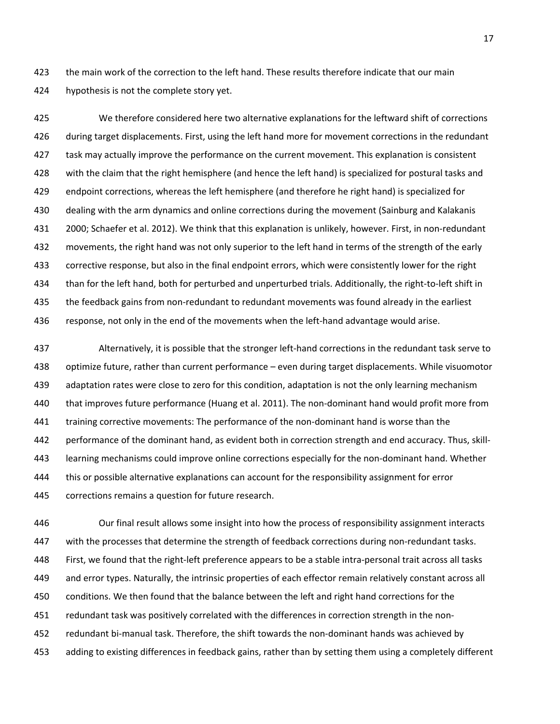423 the main work of the correction to the left hand. These results therefore indicate that our main 424 hypothesis is not the complete story yet.

425 We therefore considered here two alternative explanations for the leftward shift of corrections 426 during target displacements. First, using the left hand more for movement corrections in the redundant 427 task may actually improve the performance on the current movement. This explanation is consistent 428 with the claim that the right hemisphere (and hence the left hand) is specialized for postural tasks and 429 endpoint corrections, whereas the left hemisphere (and therefore he right hand) is specialized for 430 dealing with the arm dynamics and online corrections during the movement (Sainburg and Kalakanis 431 2000; Schaefer et al. 2012). We think that this explanation is unlikely, however. First, in non-redundant 432 movements, the right hand was not only superior to the left hand in terms of the strength of the early 433 corrective response, but also in the final endpoint errors, which were consistently lower for the right 434 than for the left hand, both for perturbed and unperturbed trials. Additionally, the right-to-left shift in 435 the feedback gains from non-redundant to redundant movements was found already in the earliest 436 response, not only in the end of the movements when the left-hand advantage would arise.

437 Alternatively, it is possible that the stronger left-hand corrections in the redundant task serve to 438 optimize future, rather than current performance – even during target displacements. While visuomotor 439 adaptation rates were close to zero for this condition, adaptation is not the only learning mechanism 440 that improves future performance (Huang et al. 2011). The non-dominant hand would profit more from 441 training corrective movements: The performance of the non-dominant hand is worse than the 442 performance of the dominant hand, as evident both in correction strength and end accuracy. Thus, skill-443 learning mechanisms could improve online corrections especially for the non-dominant hand. Whether 444 this or possible alternative explanations can account for the responsibility assignment for error 445 corrections remains a question for future research.

446 Our final result allows some insight into how the process of responsibility assignment interacts 447 with the processes that determine the strength of feedback corrections during non-redundant tasks. 448 First, we found that the right-left preference appears to be a stable intra-personal trait across all tasks 449 and error types. Naturally, the intrinsic properties of each effector remain relatively constant across all 450 conditions. We then found that the balance between the left and right hand corrections for the 451 redundant task was positively correlated with the differences in correction strength in the non-452 redundant bi-manual task. Therefore, the shift towards the non-dominant hands was achieved by 453 adding to existing differences in feedback gains, rather than by setting them using a completely different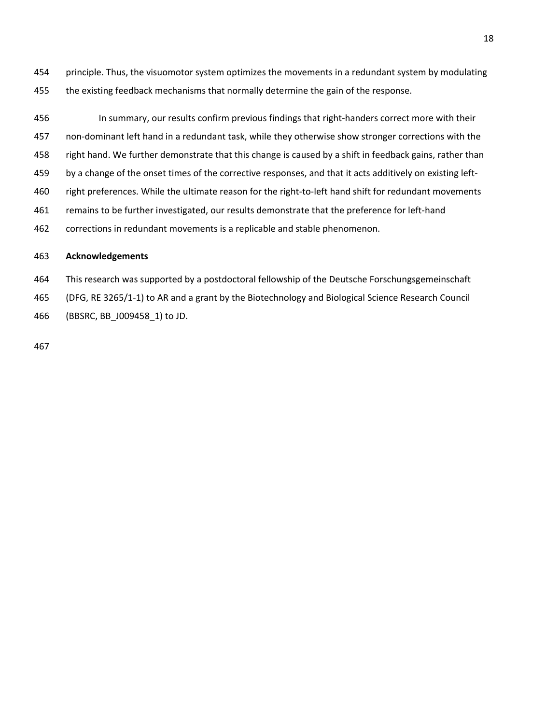454 principle. Thus, the visuomotor system optimizes the movements in a redundant system by modulating 455 the existing feedback mechanisms that normally determine the gain of the response.

456 In summary, our results confirm previous findings that right-handers correct more with their 457 non-dominant left hand in a redundant task, while they otherwise show stronger corrections with the 458 right hand. We further demonstrate that this change is caused by a shift in feedback gains, rather than 459 by a change of the onset times of the corrective responses, and that it acts additively on existing left-460 right preferences. While the ultimate reason for the right-to-left hand shift for redundant movements 461 remains to be further investigated, our results demonstrate that the preference for left-hand 462 corrections in redundant movements is a replicable and stable phenomenon.

## 463 **Acknowledgements**

464 This research was supported by a postdoctoral fellowship of the Deutsche Forschungsgemeinschaft

465 (DFG, RE 3265/1-1) to AR and a grant by the Biotechnology and Biological Science Research Council

466 (BBSRC, BB\_J009458\_1) to JD.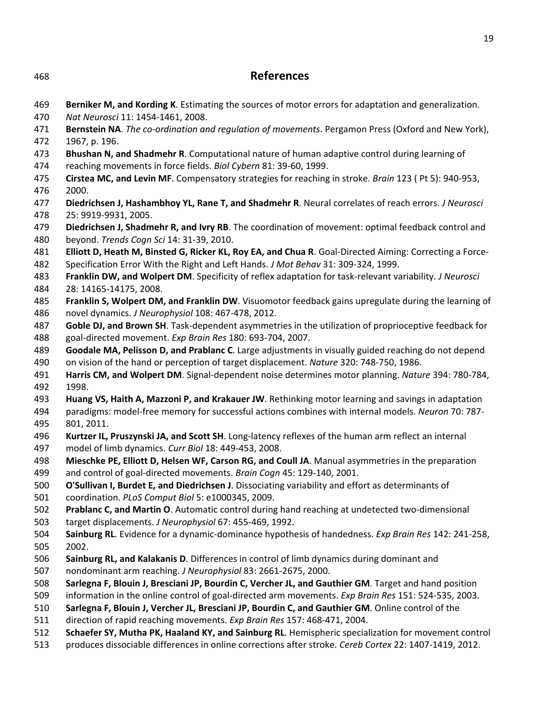| 468        | <b>References</b>                                                                                                                                                                                             |
|------------|---------------------------------------------------------------------------------------------------------------------------------------------------------------------------------------------------------------|
| 469        | Berniker M, and Kording K. Estimating the sources of motor errors for adaptation and generalization.                                                                                                          |
| 470        | Nat Neurosci 11: 1454-1461, 2008.                                                                                                                                                                             |
| 471        | Bernstein NA. The co-ordination and regulation of movements. Pergamon Press (Oxford and New York),                                                                                                            |
| 472        | 1967, p. 196.                                                                                                                                                                                                 |
| 473        | Bhushan N, and Shadmehr R. Computational nature of human adaptive control during learning of                                                                                                                  |
| 474<br>475 | reaching movements in force fields. Biol Cybern 81: 39-60, 1999.<br>Cirstea MC, and Levin MF. Compensatory strategies for reaching in stroke. Brain 123 (Pt 5): 940-953,                                      |
| 476        | 2000.                                                                                                                                                                                                         |
| 477        | Diedrichsen J, Hashambhoy YL, Rane T, and Shadmehr R. Neural correlates of reach errors. J Neurosci                                                                                                           |
| 478        | 25: 9919-9931, 2005.                                                                                                                                                                                          |
| 479<br>480 | Diedrichsen J, Shadmehr R, and Ivry RB. The coordination of movement: optimal feedback control and<br>beyond. Trends Cogn Sci 14: 31-39, 2010.                                                                |
| 481        | Elliott D, Heath M, Binsted G, Ricker KL, Roy EA, and Chua R. Goal-Directed Aiming: Correcting a Force-                                                                                                       |
| 482        | Specification Error With the Right and Left Hands. J Mot Behav 31: 309-324, 1999.                                                                                                                             |
| 483        | Franklin DW, and Wolpert DM. Specificity of reflex adaptation for task-relevant variability. J Neurosci                                                                                                       |
| 484        | 28: 14165-14175, 2008.                                                                                                                                                                                        |
| 485        | Franklin S, Wolpert DM, and Franklin DW. Visuomotor feedback gains upregulate during the learning of                                                                                                          |
| 486        | novel dynamics. J Neurophysiol 108: 467-478, 2012.                                                                                                                                                            |
| 487        | Goble DJ, and Brown SH. Task-dependent asymmetries in the utilization of proprioceptive feedback for                                                                                                          |
| 488        | goal-directed movement. Exp Brain Res 180: 693-704, 2007.                                                                                                                                                     |
| 489        | Goodale MA, Pelisson D, and Prablanc C. Large adjustments in visually guided reaching do not depend                                                                                                           |
| 490        | on vision of the hand or perception of target displacement. Nature 320: 748-750, 1986.                                                                                                                        |
| 491        | Harris CM, and Wolpert DM. Signal-dependent noise determines motor planning. Nature 394: 780-784,                                                                                                             |
| 492        | 1998.                                                                                                                                                                                                         |
| 493        | Huang VS, Haith A, Mazzoni P, and Krakauer JW. Rethinking motor learning and savings in adaptation                                                                                                            |
| 494        | paradigms: model-free memory for successful actions combines with internal models. Neuron 70: 787-                                                                                                            |
| 495        | 801, 2011.                                                                                                                                                                                                    |
| 496<br>497 | Kurtzer IL, Pruszynski JA, and Scott SH. Long-latency reflexes of the human arm reflect an internal<br>model of limb dynamics. Curr Biol 18: 449-453, 2008.                                                   |
| 498        | Mieschke PE, Elliott D, Helsen WF, Carson RG, and Coull JA. Manual asymmetries in the preparation                                                                                                             |
| 499        | and control of goal-directed movements. Brain Cogn 45: 129-140, 2001.                                                                                                                                         |
| 500        | O'Sullivan I, Burdet E, and Diedrichsen J. Dissociating variability and effort as determinants of                                                                                                             |
| 501        | coordination. PLoS Comput Biol 5: e1000345, 2009.                                                                                                                                                             |
| 502        | Prablanc C, and Martin O. Automatic control during hand reaching at undetected two-dimensional                                                                                                                |
| 503        | target displacements. J Neurophysiol 67: 455-469, 1992.                                                                                                                                                       |
| 504        | Sainburg RL. Evidence for a dynamic-dominance hypothesis of handedness. Exp Brain Res 142: 241-258,                                                                                                           |
| 505        | 2002.                                                                                                                                                                                                         |
| 506        | Sainburg RL, and Kalakanis D. Differences in control of limb dynamics during dominant and                                                                                                                     |
| 507        | nondominant arm reaching. J Neurophysiol 83: 2661-2675, 2000.                                                                                                                                                 |
| 508        | Sarlegna F, Blouin J, Bresciani JP, Bourdin C, Vercher JL, and Gauthier GM. Target and hand position                                                                                                          |
| 509        | information in the online control of goal-directed arm movements. Exp Brain Res 151: 524-535, 2003.                                                                                                           |
| 510        | Sarlegna F, Blouin J, Vercher JL, Bresciani JP, Bourdin C, and Gauthier GM. Online control of the                                                                                                             |
| 511        | direction of rapid reaching movements. Exp Brain Res 157: 468-471, 2004.                                                                                                                                      |
| 512<br>513 | Schaefer SY, Mutha PK, Haaland KY, and Sainburg RL. Hemispheric specialization for movement control<br>produces dissociable differences in online corrections after stroke. Cereb Cortex 22: 1407-1419, 2012. |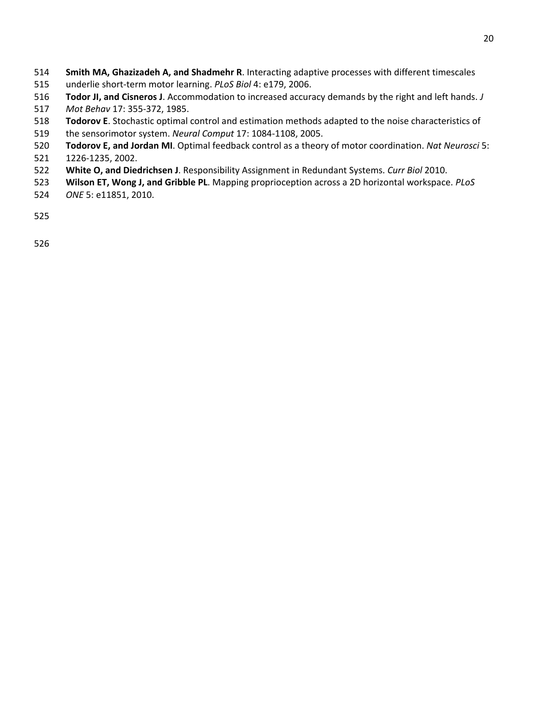- **Smith MA, Ghazizadeh A, and Shadmehr R**. Interacting adaptive processes with different timescales
- 515 underlie short-term motor learning. *PLoS Biol* 4: e179, 2006.
- **Todor JI, and Cisneros J**. Accommodation to increased accuracy demands by the right and left hands. *J*
- *Mot Behav* 17: 355-372, 1985.
- **Todorov E**. Stochastic optimal control and estimation methods adapted to the noise characteristics of 519 the sensorimotor system. *Neural Comput* 17: 1084-1108, 2005.
- **Todorov E, and Jordan MI**. Optimal feedback control as a theory of motor coordination. *Nat Neurosci* 5:
- 521 1226-1235, 2002.
- **White O, and Diedrichsen J**. Responsibility Assignment in Redundant Systems. *Curr Biol* 2010.
- **Wilson ET, Wong J, and Gribble PL**. Mapping proprioception across a 2D horizontal workspace. *PLoS*
- *ONE* 5: e11851, 2010.
- 
-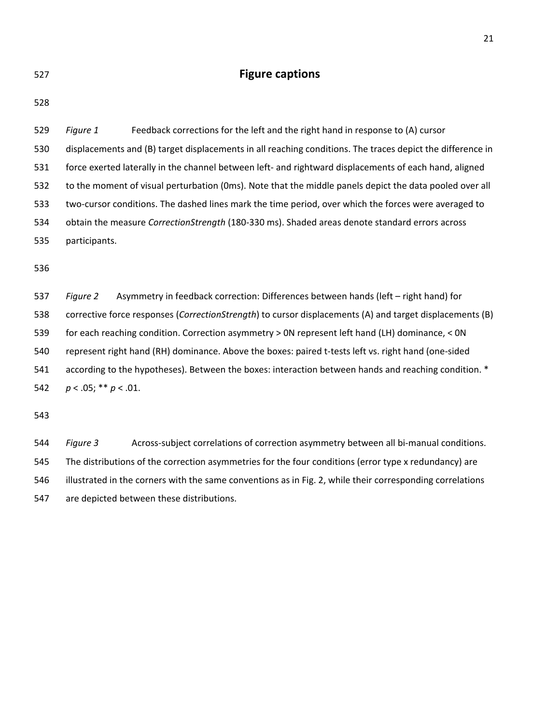|         | ٠ |  |
|---------|---|--|
| I       | ٠ |  |
| ×<br>۰. |   |  |

# **Figure captions**

528

529 *Figure 1* Feedback corrections for the left and the right hand in response to (A) cursor 530 displacements and (B) target displacements in all reaching conditions. The traces depict the difference in 531 force exerted laterally in the channel between left- and rightward displacements of each hand, aligned 532 to the moment of visual perturbation (0ms). Note that the middle panels depict the data pooled over all 533 two-cursor conditions. The dashed lines mark the time period, over which the forces were averaged to 534 obtain the measure *CorrectionStrength* (180-330 ms). Shaded areas denote standard errors across 535 participants.

536

537 *Figure 2* Asymmetry in feedback correction: Differences between hands (left – right hand) for 538 corrective force responses (*CorrectionStrength*) to cursor displacements (A) and target displacements (B) 539 for each reaching condition. Correction asymmetry > 0N represent left hand (LH) dominance, < 0N 540 represent right hand (RH) dominance. Above the boxes: paired t-tests left vs. right hand (one-sided 541 according to the hypotheses). Between the boxes: interaction between hands and reaching condition. \* 542 *p* < .05; \*\* *p* < .01.

543

544 *Figure 3* Across-subject correlations of correction asymmetry between all bi-manual conditions. 545 The distributions of the correction asymmetries for the four conditions (error type x redundancy) are 546 illustrated in the corners with the same conventions as in Fig. 2, while their corresponding correlations 547 are depicted between these distributions.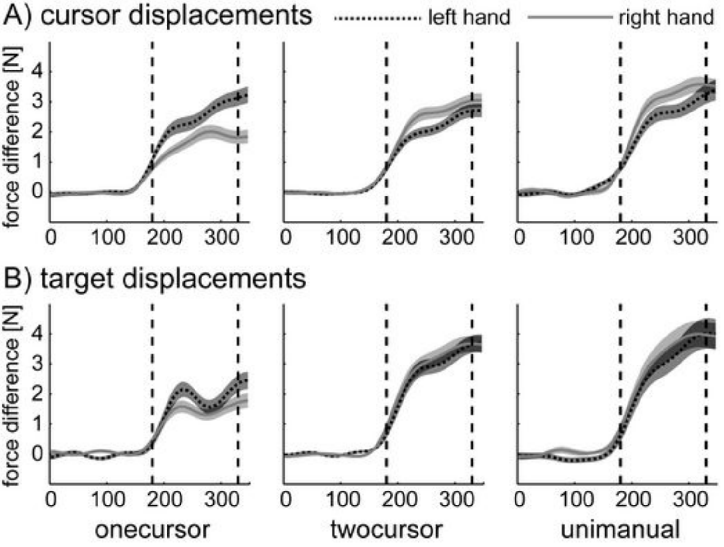

B) target displacements

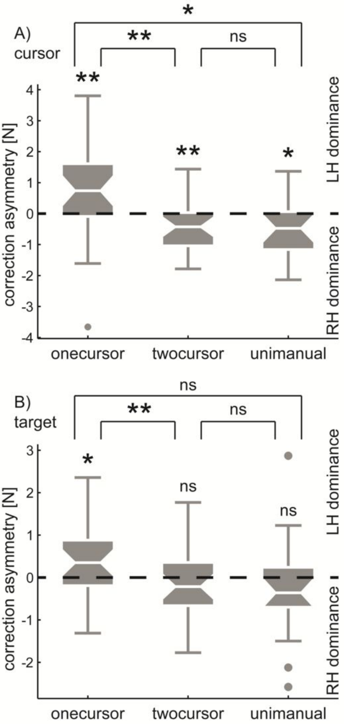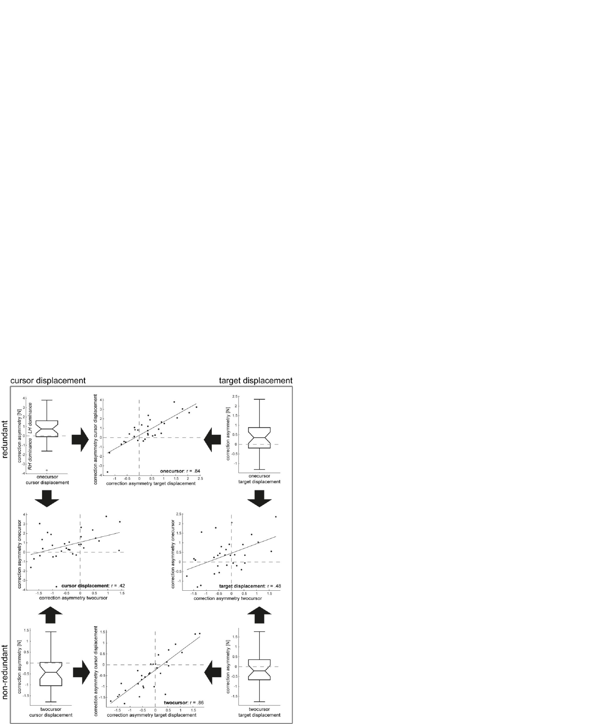# cursor displacement

# target displacement